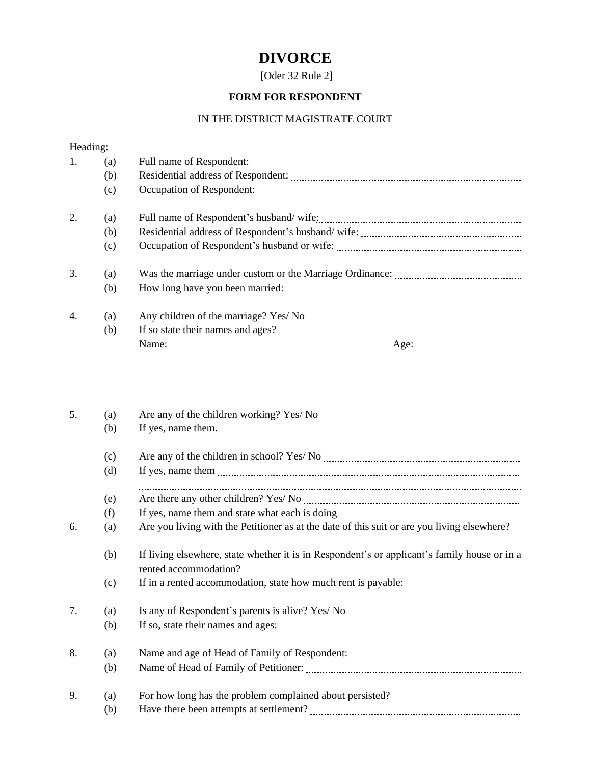## **DIVORCE**

[Oder 32 Rule 2]

## **FORM FOR RESPONDENT**

## IN THE DISTRICT MAGISTRATE COURT

| Heading: |     |                                                                                              |
|----------|-----|----------------------------------------------------------------------------------------------|
| 1.       | (a) |                                                                                              |
|          | (b) |                                                                                              |
|          | (c) |                                                                                              |
| 2.       | (a) |                                                                                              |
|          | (b) |                                                                                              |
|          | (c) |                                                                                              |
| 3.       | (a) |                                                                                              |
|          | (b) |                                                                                              |
| 4.       | (a) |                                                                                              |
|          | (b) | If so state their names and ages?                                                            |
|          |     |                                                                                              |
|          |     |                                                                                              |
|          |     |                                                                                              |
| 5.       | (a) |                                                                                              |
|          | (b) |                                                                                              |
|          | (c) |                                                                                              |
|          | (d) |                                                                                              |
|          | (e) |                                                                                              |
|          | (f) | If yes, name them and state what each is doing                                               |
| 6.       | (a) | Are you living with the Petitioner as at the date of this suit or are you living elsewhere?  |
|          | (b) | If living elsewhere, state whether it is in Respondent's or applicant's family house or in a |
|          |     | rented accommodation?                                                                        |
|          | (c) |                                                                                              |
| 7.       | (a) |                                                                                              |
|          | (b) |                                                                                              |
|          |     |                                                                                              |
| 8.       | (a) |                                                                                              |
|          | (b) |                                                                                              |
| 9.       | (a) |                                                                                              |
|          | (b) |                                                                                              |